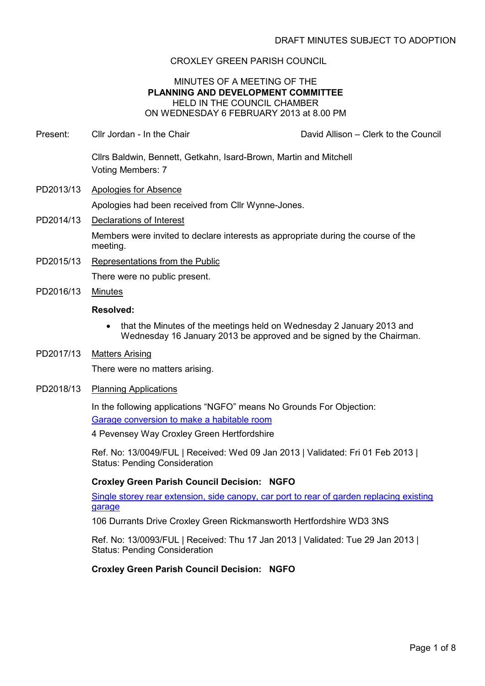## CROXLEY GREEN PARISH COUNCIL

#### MINUTES OF A MEETING OF THE PLANNING AND DEVELOPMENT COMMITTEE HELD IN THE COUNCIL CHAMBER ON WEDNESDAY 6 FEBRUARY 2013 at 8.00 PM

Present: Cllr Jordan - In the Chair David Allison – Clerk to the Council

Cllrs Baldwin, Bennett, Getkahn, Isard-Brown, Martin and Mitchell Voting Members: 7

- PD2013/13 Apologies for Absence Apologies had been received from Cllr Wynne-Jones.
- PD2014/13 Declarations of Interest Members were invited to declare interests as appropriate during the course of the meeting.
- PD2015/13 Representations from the Public There were no public present.
- PD2016/13 Minutes

### Resolved:

- that the Minutes of the meetings held on Wednesday 2 January 2013 and Wednesday 16 January 2013 be approved and be signed by the Chairman.
- PD2017/13 Matters Arising

There were no matters arising.

PD2018/13 Planning Applications

In the following applications "NGFO" means No Grounds For Objection: Garage conversion to make a habitable room

4 Pevensey Way Croxley Green Hertfordshire

Ref. No: 13/0049/FUL | Received: Wed 09 Jan 2013 | Validated: Fri 01 Feb 2013 | Status: Pending Consideration

### Croxley Green Parish Council Decision: NGFO

Single storey rear extension, side canopy, car port to rear of garden replacing existing garage

106 Durrants Drive Croxley Green Rickmansworth Hertfordshire WD3 3NS

Ref. No: 13/0093/FUL | Received: Thu 17 Jan 2013 | Validated: Tue 29 Jan 2013 | Status: Pending Consideration

Croxley Green Parish Council Decision: NGFO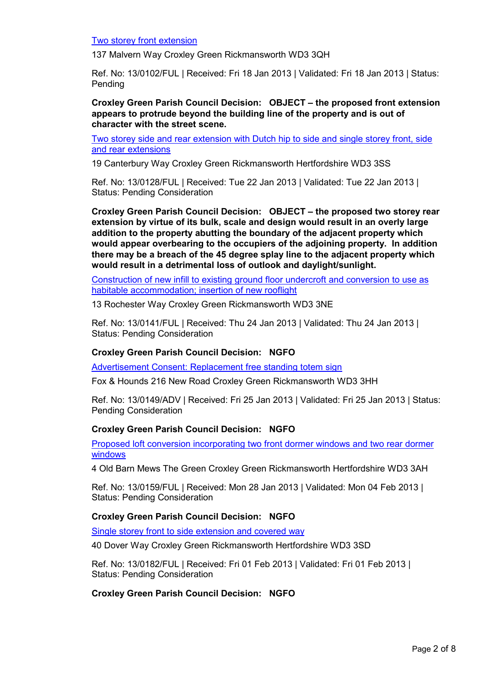Two storey front extension

137 Malvern Way Croxley Green Rickmansworth WD3 3QH

Ref. No: 13/0102/FUL | Received: Fri 18 Jan 2013 | Validated: Fri 18 Jan 2013 | Status: Pending

Croxley Green Parish Council Decision: OBJECT – the proposed front extension appears to protrude beyond the building line of the property and is out of character with the street scene.

Two storey side and rear extension with Dutch hip to side and single storey front, side and rear extensions

19 Canterbury Way Croxley Green Rickmansworth Hertfordshire WD3 3SS

Ref. No: 13/0128/FUL | Received: Tue 22 Jan 2013 | Validated: Tue 22 Jan 2013 | Status: Pending Consideration

Croxley Green Parish Council Decision: OBJECT – the proposed two storey rear extension by virtue of its bulk, scale and design would result in an overly large addition to the property abutting the boundary of the adjacent property which would appear overbearing to the occupiers of the adjoining property. In addition there may be a breach of the 45 degree splay line to the adjacent property which would result in a detrimental loss of outlook and daylight/sunlight.

Construction of new infill to existing ground floor undercroft and conversion to use as habitable accommodation; insertion of new rooflight

13 Rochester Way Croxley Green Rickmansworth WD3 3NE

Ref. No: 13/0141/FUL | Received: Thu 24 Jan 2013 | Validated: Thu 24 Jan 2013 | Status: Pending Consideration

### Croxley Green Parish Council Decision: NGFO

Advertisement Consent: Replacement free standing totem sign

Fox & Hounds 216 New Road Croxley Green Rickmansworth WD3 3HH

Ref. No: 13/0149/ADV | Received: Fri 25 Jan 2013 | Validated: Fri 25 Jan 2013 | Status: Pending Consideration

### Croxley Green Parish Council Decision: NGFO

Proposed loft conversion incorporating two front dormer windows and two rear dormer windows

4 Old Barn Mews The Green Croxley Green Rickmansworth Hertfordshire WD3 3AH

Ref. No: 13/0159/FUL | Received: Mon 28 Jan 2013 | Validated: Mon 04 Feb 2013 | Status: Pending Consideration

### Croxley Green Parish Council Decision: NGFO

Single storey front to side extension and covered way

40 Dover Way Croxley Green Rickmansworth Hertfordshire WD3 3SD

Ref. No: 13/0182/FUL | Received: Fri 01 Feb 2013 | Validated: Fri 01 Feb 2013 | Status: Pending Consideration

### Croxley Green Parish Council Decision: NGFO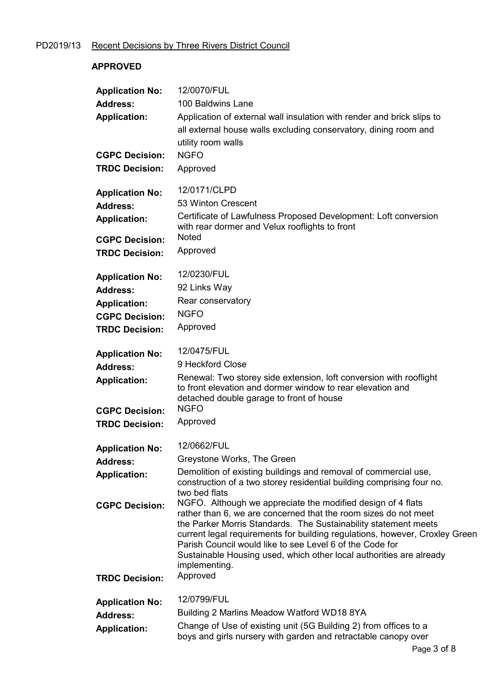# PD2019/13 Recent Decisions by Three Rivers District Council

## APPROVED

| <b>Application No:</b><br><b>Address:</b><br><b>Application:</b><br><b>CGPC Decision:</b><br><b>TRDC Decision:</b> | 12/0070/FUL<br>100 Baldwins Lane<br>Application of external wall insulation with render and brick slips to<br>all external house walls excluding conservatory, dining room and<br>utility room walls<br><b>NGFO</b><br>Approved                                                                                                                                                                                                                                                                                                                                                                                                                            |
|--------------------------------------------------------------------------------------------------------------------|------------------------------------------------------------------------------------------------------------------------------------------------------------------------------------------------------------------------------------------------------------------------------------------------------------------------------------------------------------------------------------------------------------------------------------------------------------------------------------------------------------------------------------------------------------------------------------------------------------------------------------------------------------|
| <b>Application No:</b><br><b>Address:</b><br><b>Application:</b><br><b>CGPC Decision:</b><br><b>TRDC Decision:</b> | 12/0171/CLPD<br>53 Winton Crescent<br>Certificate of Lawfulness Proposed Development: Loft conversion<br>with rear dormer and Velux rooflights to front<br><b>Noted</b><br>Approved                                                                                                                                                                                                                                                                                                                                                                                                                                                                        |
| <b>Application No:</b><br><b>Address:</b><br><b>Application:</b><br><b>CGPC Decision:</b><br><b>TRDC Decision:</b> | 12/0230/FUL<br>92 Links Way<br>Rear conservatory<br><b>NGFO</b><br>Approved                                                                                                                                                                                                                                                                                                                                                                                                                                                                                                                                                                                |
| <b>Application No:</b><br><b>Address:</b><br><b>Application:</b><br><b>CGPC Decision:</b><br><b>TRDC Decision:</b> | 12/0475/FUL<br>9 Heckford Close<br>Renewal: Two storey side extension, loft conversion with rooflight<br>to front elevation and dormer window to rear elevation and<br>detached double garage to front of house<br><b>NGFO</b><br>Approved                                                                                                                                                                                                                                                                                                                                                                                                                 |
| <b>Application No:</b><br><b>Address:</b><br><b>Application:</b><br><b>CGPC Decision:</b><br><b>TRDC Decision:</b> | 12/0662/FUL<br>Greystone Works, The Green<br>Demolition of existing buildings and removal of commercial use,<br>construction of a two storey residential building comprising four no.<br>two bed flats<br>NGFO. Although we appreciate the modified design of 4 flats<br>rather than 6, we are concerned that the room sizes do not meet<br>the Parker Morris Standards. The Sustainability statement meets<br>current legal requirements for building regulations, however, Croxley Green<br>Parish Council would like to see Level 6 of the Code for<br>Sustainable Housing used, which other local authorities are already<br>implementing.<br>Approved |
| <b>Application No:</b><br><b>Address:</b><br><b>Application:</b>                                                   | 12/0799/FUL<br>Building 2 Marlins Meadow Watford WD18 8YA<br>Change of Use of existing unit (5G Building 2) from offices to a<br>boys and girls nursery with garden and retractable canopy over                                                                                                                                                                                                                                                                                                                                                                                                                                                            |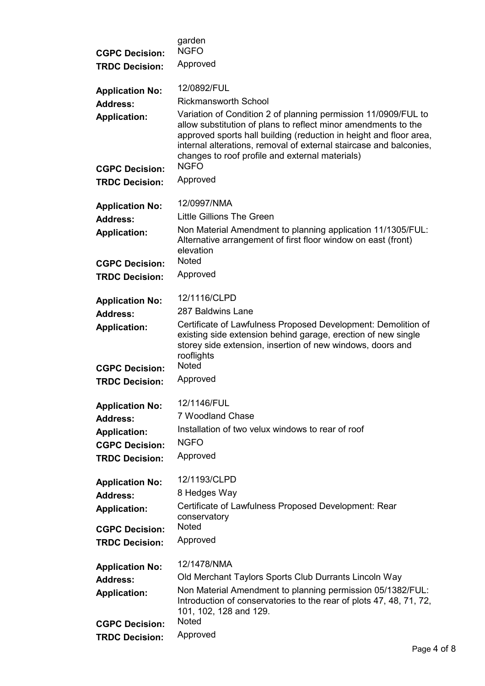| <b>CGPC Decision:</b>                        | garden<br><b>NGFO</b>                                                                                                                                                                                                                                                                                                                          |
|----------------------------------------------|------------------------------------------------------------------------------------------------------------------------------------------------------------------------------------------------------------------------------------------------------------------------------------------------------------------------------------------------|
| <b>TRDC Decision:</b>                        | Approved                                                                                                                                                                                                                                                                                                                                       |
| <b>Application No:</b>                       | 12/0892/FUL                                                                                                                                                                                                                                                                                                                                    |
| <b>Address:</b>                              | Rickmansworth School                                                                                                                                                                                                                                                                                                                           |
| <b>Application:</b><br><b>CGPC Decision:</b> | Variation of Condition 2 of planning permission 11/0909/FUL to<br>allow substitution of plans to reflect minor amendments to the<br>approved sports hall building (reduction in height and floor area,<br>internal alterations, removal of external staircase and balconies,<br>changes to roof profile and external materials)<br><b>NGFO</b> |
| <b>TRDC Decision:</b>                        | Approved                                                                                                                                                                                                                                                                                                                                       |
| <b>Application No:</b>                       | 12/0997/NMA                                                                                                                                                                                                                                                                                                                                    |
| <b>Address:</b>                              | Little Gillions The Green                                                                                                                                                                                                                                                                                                                      |
| <b>Application:</b>                          | Non Material Amendment to planning application 11/1305/FUL:<br>Alternative arrangement of first floor window on east (front)<br>elevation                                                                                                                                                                                                      |
| <b>CGPC Decision:</b>                        | <b>Noted</b>                                                                                                                                                                                                                                                                                                                                   |
| <b>TRDC Decision:</b>                        | Approved                                                                                                                                                                                                                                                                                                                                       |
| <b>Application No:</b>                       | 12/1116/CLPD                                                                                                                                                                                                                                                                                                                                   |
| <b>Address:</b>                              | 287 Baldwins Lane                                                                                                                                                                                                                                                                                                                              |
| <b>Application:</b>                          | Certificate of Lawfulness Proposed Development: Demolition of<br>existing side extension behind garage, erection of new single<br>storey side extension, insertion of new windows, doors and<br>rooflights                                                                                                                                     |
| <b>CGPC Decision:</b>                        | <b>Noted</b>                                                                                                                                                                                                                                                                                                                                   |
| <b>TRDC Decision:</b>                        | Approved                                                                                                                                                                                                                                                                                                                                       |
| <b>Application No:</b>                       | 12/1146/FUL                                                                                                                                                                                                                                                                                                                                    |
| <b>Address:</b>                              | 7 Woodland Chase                                                                                                                                                                                                                                                                                                                               |
| <b>Application:</b>                          | Installation of two velux windows to rear of roof                                                                                                                                                                                                                                                                                              |
| <b>CGPC Decision:</b>                        | <b>NGFO</b>                                                                                                                                                                                                                                                                                                                                    |
| <b>TRDC Decision:</b>                        | Approved                                                                                                                                                                                                                                                                                                                                       |
| <b>Application No:</b>                       | 12/1193/CLPD                                                                                                                                                                                                                                                                                                                                   |
| <b>Address:</b>                              | 8 Hedges Way                                                                                                                                                                                                                                                                                                                                   |
| <b>Application:</b>                          | Certificate of Lawfulness Proposed Development: Rear<br>conservatory                                                                                                                                                                                                                                                                           |
| <b>CGPC Decision:</b>                        | <b>Noted</b>                                                                                                                                                                                                                                                                                                                                   |
| <b>TRDC Decision:</b>                        | Approved                                                                                                                                                                                                                                                                                                                                       |
| <b>Application No:</b>                       | 12/1478/NMA                                                                                                                                                                                                                                                                                                                                    |
| <b>Address:</b>                              | Old Merchant Taylors Sports Club Durrants Lincoln Way                                                                                                                                                                                                                                                                                          |
| <b>Application:</b>                          | Non Material Amendment to planning permission 05/1382/FUL:<br>Introduction of conservatories to the rear of plots 47, 48, 71, 72,<br>101, 102, 128 and 129.                                                                                                                                                                                    |
| <b>CGPC Decision:</b>                        | <b>Noted</b>                                                                                                                                                                                                                                                                                                                                   |
| <b>TRDC Decision:</b>                        | Approved                                                                                                                                                                                                                                                                                                                                       |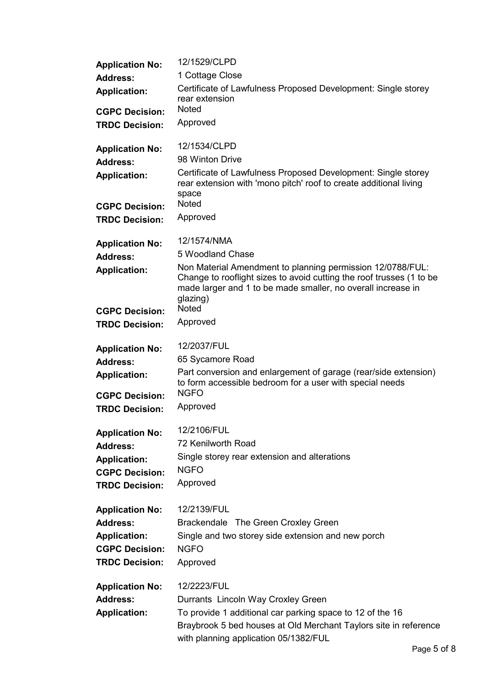| <b>Application No:</b> | 12/1529/CLPD                                                                                                                                                                                                   |
|------------------------|----------------------------------------------------------------------------------------------------------------------------------------------------------------------------------------------------------------|
| <b>Address:</b>        | 1 Cottage Close                                                                                                                                                                                                |
| <b>Application:</b>    | Certificate of Lawfulness Proposed Development: Single storey<br>rear extension                                                                                                                                |
| <b>CGPC Decision:</b>  | <b>Noted</b>                                                                                                                                                                                                   |
| <b>TRDC Decision:</b>  | Approved                                                                                                                                                                                                       |
| <b>Application No:</b> | 12/1534/CLPD                                                                                                                                                                                                   |
| <b>Address:</b>        | 98 Winton Drive                                                                                                                                                                                                |
| <b>Application:</b>    | Certificate of Lawfulness Proposed Development: Single storey<br>rear extension with 'mono pitch' roof to create additional living<br>space                                                                    |
| <b>CGPC Decision:</b>  | <b>Noted</b>                                                                                                                                                                                                   |
| <b>TRDC Decision:</b>  | Approved                                                                                                                                                                                                       |
| <b>Application No:</b> | 12/1574/NMA                                                                                                                                                                                                    |
| <b>Address:</b>        | 5 Woodland Chase                                                                                                                                                                                               |
| <b>Application:</b>    | Non Material Amendment to planning permission 12/0788/FUL:<br>Change to rooflight sizes to avoid cutting the roof trusses (1 to be<br>made larger and 1 to be made smaller, no overall increase in<br>glazing) |
| <b>CGPC Decision:</b>  | <b>Noted</b>                                                                                                                                                                                                   |
| <b>TRDC Decision:</b>  | Approved                                                                                                                                                                                                       |
| <b>Application No:</b> | 12/2037/FUL                                                                                                                                                                                                    |
| <b>Address:</b>        | 65 Sycamore Road                                                                                                                                                                                               |
| <b>Application:</b>    | Part conversion and enlargement of garage (rear/side extension)<br>to form accessible bedroom for a user with special needs                                                                                    |
| <b>CGPC Decision:</b>  | <b>NGFO</b>                                                                                                                                                                                                    |
| <b>TRDC Decision:</b>  | Approved                                                                                                                                                                                                       |
| <b>Application No:</b> | 12/2106/FUL                                                                                                                                                                                                    |
| <b>Address:</b>        | 72 Kenilworth Road                                                                                                                                                                                             |
| <b>Application:</b>    | Single storey rear extension and alterations                                                                                                                                                                   |
| <b>CGPC Decision:</b>  | <b>NGFO</b>                                                                                                                                                                                                    |
| <b>TRDC Decision:</b>  | Approved                                                                                                                                                                                                       |
| <b>Application No:</b> | 12/2139/FUL                                                                                                                                                                                                    |
| <b>Address:</b>        | Brackendale The Green Croxley Green                                                                                                                                                                            |
| <b>Application:</b>    | Single and two storey side extension and new porch                                                                                                                                                             |
| <b>CGPC Decision:</b>  | <b>NGFO</b>                                                                                                                                                                                                    |
| <b>TRDC Decision:</b>  | Approved                                                                                                                                                                                                       |
| <b>Application No:</b> | 12/2223/FUL                                                                                                                                                                                                    |
| <b>Address:</b>        | Durrants Lincoln Way Croxley Green                                                                                                                                                                             |
| <b>Application:</b>    | To provide 1 additional car parking space to 12 of the 16<br>Braybrook 5 bed houses at Old Merchant Taylors site in reference                                                                                  |
|                        | with planning application 05/1382/FUL                                                                                                                                                                          |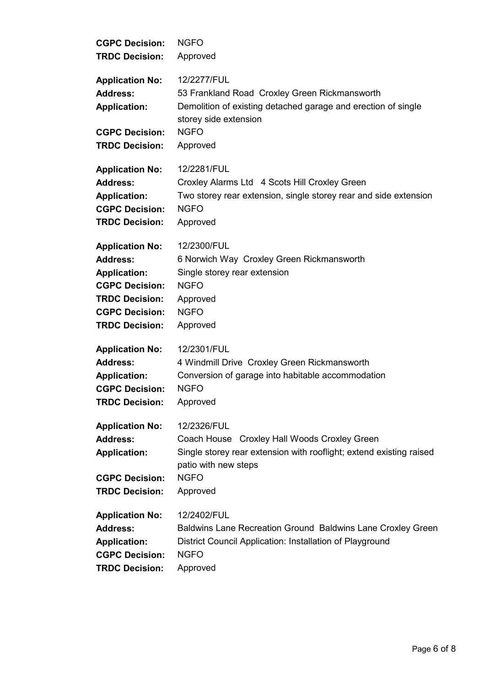| <b>CGPC Decision:</b>                                                                                              | <b>NGFO</b>                                                                                                                                                                           |
|--------------------------------------------------------------------------------------------------------------------|---------------------------------------------------------------------------------------------------------------------------------------------------------------------------------------|
| <b>TRDC Decision:</b>                                                                                              | Approved                                                                                                                                                                              |
| <b>Application No:</b><br><b>Address:</b><br><b>Application:</b><br><b>CGPC Decision:</b><br><b>TRDC Decision:</b> | 12/2277/FUL<br>53 Frankland Road Croxley Green Rickmansworth<br>Demolition of existing detached garage and erection of single<br>storey side extension<br><b>NGFO</b><br>Approved     |
| <b>Application No:</b>                                                                                             | 12/2281/FUL                                                                                                                                                                           |
| <b>Address:</b>                                                                                                    | Croxley Alarms Ltd 4 Scots Hill Croxley Green                                                                                                                                         |
| <b>Application:</b>                                                                                                | Two storey rear extension, single storey rear and side extension                                                                                                                      |
| <b>CGPC Decision:</b>                                                                                              | <b>NGFO</b>                                                                                                                                                                           |
| <b>TRDC Decision:</b>                                                                                              | Approved                                                                                                                                                                              |
| <b>Application No:</b>                                                                                             | 12/2300/FUL                                                                                                                                                                           |
| <b>Address:</b>                                                                                                    | 6 Norwich Way Croxley Green Rickmansworth                                                                                                                                             |
| <b>Application:</b>                                                                                                | Single storey rear extension                                                                                                                                                          |
| <b>CGPC Decision:</b>                                                                                              | <b>NGFO</b>                                                                                                                                                                           |
| <b>TRDC Decision:</b>                                                                                              | Approved                                                                                                                                                                              |
| <b>CGPC Decision:</b>                                                                                              | <b>NGFO</b>                                                                                                                                                                           |
| <b>TRDC Decision:</b>                                                                                              | Approved                                                                                                                                                                              |
| <b>Application No:</b>                                                                                             | 12/2301/FUL                                                                                                                                                                           |
| <b>Address:</b>                                                                                                    | 4 Windmill Drive Croxley Green Rickmansworth                                                                                                                                          |
| <b>Application:</b>                                                                                                | Conversion of garage into habitable accommodation                                                                                                                                     |
| <b>CGPC Decision:</b>                                                                                              | <b>NGFO</b>                                                                                                                                                                           |
| <b>TRDC Decision:</b>                                                                                              | Approved                                                                                                                                                                              |
| <b>Application No:</b><br><b>Address:</b><br><b>Application:</b><br><b>CGPC Decision:</b><br><b>TRDC Decision:</b> | 12/2326/FUL<br>Coach House Croxley Hall Woods Croxley Green<br>Single storey rear extension with rooflight; extend existing raised<br>patio with new steps<br><b>NGFO</b><br>Approved |
| <b>Application No:</b>                                                                                             | 12/2402/FUL                                                                                                                                                                           |
| <b>Address:</b>                                                                                                    | Baldwins Lane Recreation Ground Baldwins Lane Croxley Green                                                                                                                           |
| <b>Application:</b>                                                                                                | District Council Application: Installation of Playground                                                                                                                              |
| <b>CGPC Decision:</b>                                                                                              | <b>NGFO</b>                                                                                                                                                                           |
| <b>TRDC Decision:</b>                                                                                              | Approved                                                                                                                                                                              |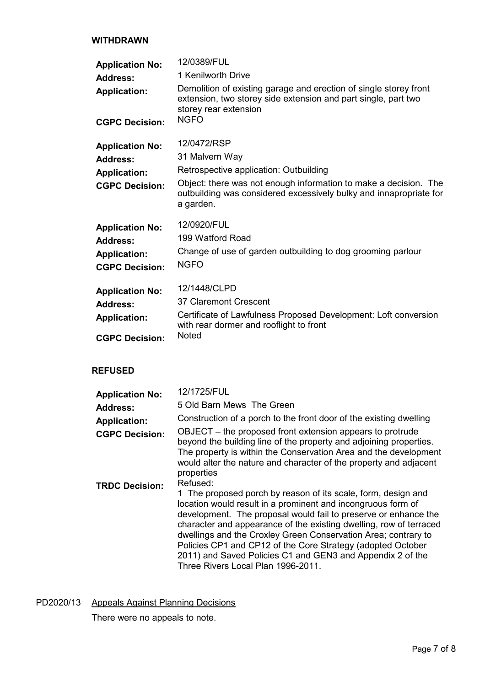### WITHDRAWN

| <b>Application No:</b><br><b>Address:</b><br><b>Application:</b><br><b>CGPC Decision:</b> | 12/0389/FUL<br>1 Kenilworth Drive<br>Demolition of existing garage and erection of single storey front<br>extension, two storey side extension and part single, part two<br>storey rear extension<br><b>NGFO</b>               |
|-------------------------------------------------------------------------------------------|--------------------------------------------------------------------------------------------------------------------------------------------------------------------------------------------------------------------------------|
| <b>Application No:</b><br>Address:<br><b>Application:</b><br><b>CGPC Decision:</b>        | 12/0472/RSP<br>31 Malvern Way<br>Retrospective application: Outbuilding<br>Object: there was not enough information to make a decision. The<br>outbuilding was considered excessively bulky and innapropriate for<br>a garden. |
| <b>Application No:</b><br><b>Address:</b><br><b>Application:</b><br><b>CGPC Decision:</b> | 12/0920/FUL<br>199 Watford Road<br>Change of use of garden outbuilding to dog grooming parlour<br><b>NGFO</b>                                                                                                                  |
| <b>Application No:</b><br><b>Address:</b><br><b>Application:</b><br><b>CGPC Decision:</b> | 12/1448/CLPD<br>37 Claremont Crescent<br>Certificate of Lawfulness Proposed Development: Loft conversion<br>with rear dormer and rooflight to front<br><b>Noted</b>                                                            |
| <b>REFUSED</b>                                                                            |                                                                                                                                                                                                                                |

| <b>Application No:</b> | 12/1725/FUL                                                                                                                                                                                                                                                                                                                                                                                                                                                                                                             |
|------------------------|-------------------------------------------------------------------------------------------------------------------------------------------------------------------------------------------------------------------------------------------------------------------------------------------------------------------------------------------------------------------------------------------------------------------------------------------------------------------------------------------------------------------------|
| <b>Address:</b>        | 5 Old Barn Mews The Green                                                                                                                                                                                                                                                                                                                                                                                                                                                                                               |
| <b>Application:</b>    | Construction of a porch to the front door of the existing dwelling                                                                                                                                                                                                                                                                                                                                                                                                                                                      |
| <b>CGPC Decision:</b>  | OBJECT – the proposed front extension appears to protrude<br>beyond the building line of the property and adjoining properties.<br>The property is within the Conservation Area and the development<br>would alter the nature and character of the property and adjacent<br>properties                                                                                                                                                                                                                                  |
| <b>TRDC Decision:</b>  | Refused:<br>1 The proposed porch by reason of its scale, form, design and<br>location would result in a prominent and incongruous form of<br>development. The proposal would fail to preserve or enhance the<br>character and appearance of the existing dwelling, row of terraced<br>dwellings and the Croxley Green Conservation Area; contrary to<br>Policies CP1 and CP12 of the Core Strategy (adopted October<br>2011) and Saved Policies C1 and GEN3 and Appendix 2 of the<br>Three Rivers Local Plan 1996-2011. |

PD2020/13 Appeals Against Planning Decisions

There were no appeals to note.